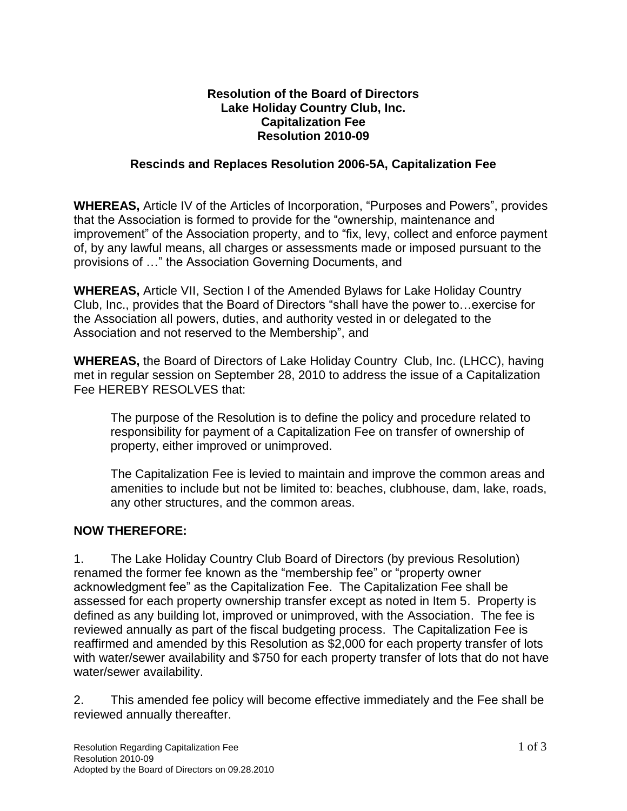## **Resolution of the Board of Directors Lake Holiday Country Club, Inc. Capitalization Fee Resolution 2010-09**

## **Rescinds and Replaces Resolution 2006-5A, Capitalization Fee**

**WHEREAS,** Article IV of the Articles of Incorporation, "Purposes and Powers", provides that the Association is formed to provide for the "ownership, maintenance and improvement" of the Association property, and to "fix, levy, collect and enforce payment of, by any lawful means, all charges or assessments made or imposed pursuant to the provisions of …" the Association Governing Documents, and

**WHEREAS,** Article VII, Section I of the Amended Bylaws for Lake Holiday Country Club, Inc., provides that the Board of Directors "shall have the power to…exercise for the Association all powers, duties, and authority vested in or delegated to the Association and not reserved to the Membership", and

**WHEREAS,** the Board of Directors of Lake Holiday Country Club, Inc. (LHCC), having met in regular session on September 28, 2010 to address the issue of a Capitalization Fee HEREBY RESOLVES that:

The purpose of the Resolution is to define the policy and procedure related to responsibility for payment of a Capitalization Fee on transfer of ownership of property, either improved or unimproved.

The Capitalization Fee is levied to maintain and improve the common areas and amenities to include but not be limited to: beaches, clubhouse, dam, lake, roads, any other structures, and the common areas.

## **NOW THEREFORE:**

1. The Lake Holiday Country Club Board of Directors (by previous Resolution) renamed the former fee known as the "membership fee" or "property owner acknowledgment fee" as the Capitalization Fee. The Capitalization Fee shall be assessed for each property ownership transfer except as noted in Item 5. Property is defined as any building lot, improved or unimproved, with the Association. The fee is reviewed annually as part of the fiscal budgeting process. The Capitalization Fee is reaffirmed and amended by this Resolution as \$2,000 for each property transfer of lots with water/sewer availability and \$750 for each property transfer of lots that do not have water/sewer availability.

2. This amended fee policy will become effective immediately and the Fee shall be reviewed annually thereafter.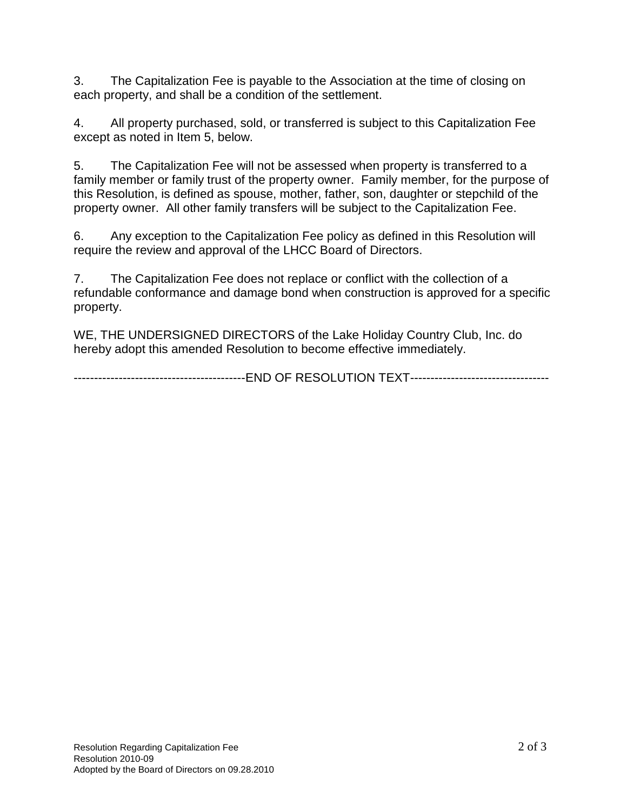3. The Capitalization Fee is payable to the Association at the time of closing on each property, and shall be a condition of the settlement.

4. All property purchased, sold, or transferred is subject to this Capitalization Fee except as noted in Item 5, below.

5. The Capitalization Fee will not be assessed when property is transferred to a family member or family trust of the property owner. Family member, for the purpose of this Resolution, is defined as spouse, mother, father, son, daughter or stepchild of the property owner. All other family transfers will be subject to the Capitalization Fee.

6. Any exception to the Capitalization Fee policy as defined in this Resolution will require the review and approval of the LHCC Board of Directors.

7. The Capitalization Fee does not replace or conflict with the collection of a refundable conformance and damage bond when construction is approved for a specific property.

WE, THE UNDERSIGNED DIRECTORS of the Lake Holiday Country Club, Inc. do hereby adopt this amended Resolution to become effective immediately.

-------------------------------END OF RESOLUTION TEXT---------------------------------